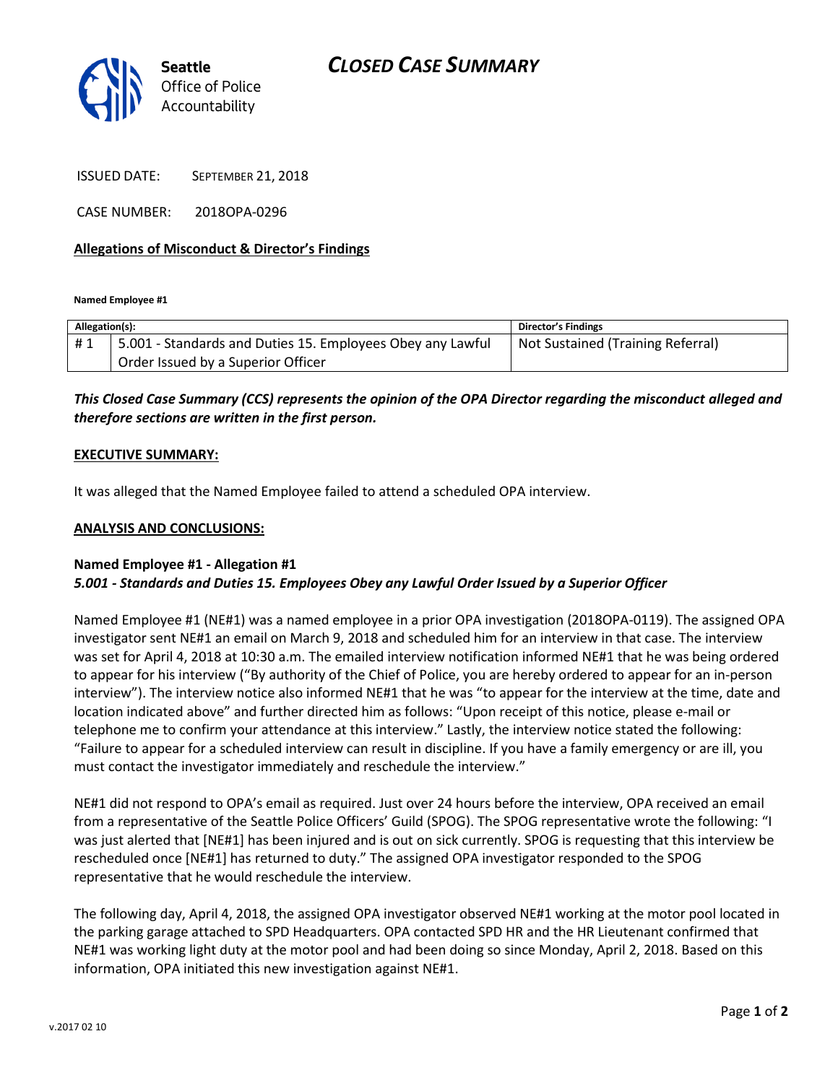

ISSUED DATE: SEPTEMBER 21, 2018

CASE NUMBER: 2018OPA-0296

# **Allegations of Misconduct & Director's Findings**

**Named Employee #1**

| Allegation(s): |                                                            | <b>Director's Findings</b>        |
|----------------|------------------------------------------------------------|-----------------------------------|
| #1             | 5.001 - Standards and Duties 15. Employees Obey any Lawful | Not Sustained (Training Referral) |
|                | Order Issued by a Superior Officer                         |                                   |

# *This Closed Case Summary (CCS) represents the opinion of the OPA Director regarding the misconduct alleged and therefore sections are written in the first person.*

# **EXECUTIVE SUMMARY:**

It was alleged that the Named Employee failed to attend a scheduled OPA interview.

#### **ANALYSIS AND CONCLUSIONS:**

# **Named Employee #1 - Allegation #1** *5.001 - Standards and Duties 15. Employees Obey any Lawful Order Issued by a Superior Officer*

Named Employee #1 (NE#1) was a named employee in a prior OPA investigation (2018OPA-0119). The assigned OPA investigator sent NE#1 an email on March 9, 2018 and scheduled him for an interview in that case. The interview was set for April 4, 2018 at 10:30 a.m. The emailed interview notification informed NE#1 that he was being ordered to appear for his interview ("By authority of the Chief of Police, you are hereby ordered to appear for an in-person interview"). The interview notice also informed NE#1 that he was "to appear for the interview at the time, date and location indicated above" and further directed him as follows: "Upon receipt of this notice, please e-mail or telephone me to confirm your attendance at this interview." Lastly, the interview notice stated the following: "Failure to appear for a scheduled interview can result in discipline. If you have a family emergency or are ill, you must contact the investigator immediately and reschedule the interview."

NE#1 did not respond to OPA's email as required. Just over 24 hours before the interview, OPA received an email from a representative of the Seattle Police Officers' Guild (SPOG). The SPOG representative wrote the following: "I was just alerted that [NE#1] has been injured and is out on sick currently. SPOG is requesting that this interview be rescheduled once [NE#1] has returned to duty." The assigned OPA investigator responded to the SPOG representative that he would reschedule the interview.

The following day, April 4, 2018, the assigned OPA investigator observed NE#1 working at the motor pool located in the parking garage attached to SPD Headquarters. OPA contacted SPD HR and the HR Lieutenant confirmed that NE#1 was working light duty at the motor pool and had been doing so since Monday, April 2, 2018. Based on this information, OPA initiated this new investigation against NE#1.